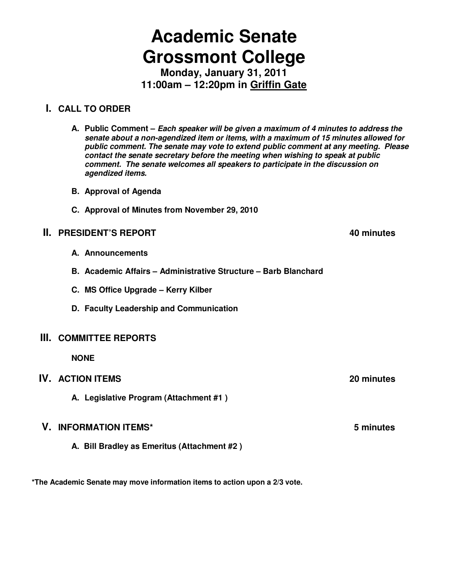# **Academic Senate Grossmont College**

**Monday, January 31, 2011 11:00am – 12:20pm in Griffin Gate**

# **I. CALL TO ORDER**

**A. Public Comment – Each speaker will be given a maximum of 4 minutes to address the senate about a non-agendized item or items, with a maximum of 15 minutes allowed for public comment. The senate may vote to extend public comment at any meeting. Please contact the senate secretary before the meeting when wishing to speak at public comment. The senate welcomes all speakers to participate in the discussion on agendized items.**

- **B. Approval of Agenda**
- **C. Approval of Minutes from November 29, 2010**

#### **II. PRESIDENT'S REPORT 40 minutes**

- **A. Announcements**
- **B. Academic Affairs Administrative Structure Barb Blanchard**
- **C. MS Office Upgrade Kerry Kilber**
- **D. Faculty Leadership and Communication**

#### **III. COMMITTEE REPORTS**

**NONE** 

#### **IV. ACTION ITEMS 20 minutes**

**A. Legislative Program (Attachment #1 )** 

#### **V. INFORMATION ITEMS\* 5 minutes**

 **A. Bill Bradley as Emeritus (Attachment #2 )** 

**\*The Academic Senate may move information items to action upon a 2/3 vote.**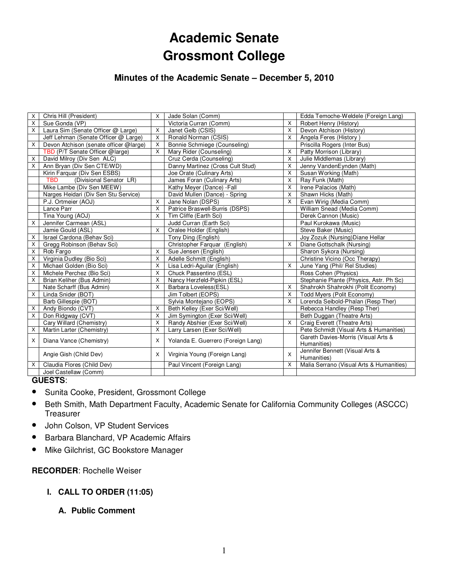# **Academic Senate Grossmont College**

# **Minutes of the Academic Senate – December 5, 2010**

| Х                       | Chris Hill (President)                 | X                       | Jade Solan (Comm)                  |              | Edda Temoche-Weldele (Foreign Lang)                |
|-------------------------|----------------------------------------|-------------------------|------------------------------------|--------------|----------------------------------------------------|
| X                       | Sue Gonda (VP)                         |                         | Victoria Curran (Comm)             | X            | Robert Henry (History)                             |
| X                       | Laura Sim (Senate Officer @ Large)     | $\mathsf{X}$            | Janet Gelb (CSIS)                  | X            | Devon Atchison (History)                           |
|                         | Jeff Lehman (Senate Officer @ Large)   | $\times$                | Ronald Norman (CSIS)               | X            | Angela Feres (History)                             |
| X                       | Devon Atchison (senate officer @large) | X                       | Bonnie Schmiege (Counseling)       |              | Priscilla Rogers (Inter Bus)                       |
|                         | TBD (P/T Senate Officer @large)        | X                       | Mary Rider (Counseling)            | X            | Patty Morrison (Library)                           |
| Χ                       | David Milroy (Div Sen ALC)             |                         | Cruz Cerda (Counseling)            | X            | Julie Middlemas (Library)                          |
| X                       | Ann Bryan (Div Sen CTE/WD)             |                         | Danny Martinez (Cross Cult Stud)   | X            | Jenny VandenEynden (Math)                          |
|                         | Kirin Farquar (Div Sen ESBS)           |                         | Joe Orate (Culinary Arts)          | X            | Susan Working (Math)                               |
|                         | (Divisional Senator LR)<br><b>TBD</b>  |                         | James Foran (Culinary Arts)        | X            | Ray Funk (Math)                                    |
|                         | Mike Lambe (Div Sen MEEW)              |                         | Kathy Meyer (Dance) - Fall         | X            | Irene Palacios (Math)                              |
|                         | Narges Heidari (Div Sen Stu Service)   |                         | David Mullen (Dance) - Spring      | X            | Shawn Hicks (Math)                                 |
|                         | P.J. Ortmeier (AOJ)                    | X                       | Jane Nolan (DSPS)                  | $\mathsf{X}$ | Evan Wirig (Media Comm)                            |
|                         | Lance Parr                             | $\mathsf{X}$            | Patrice Braswell-Burris (DSPS)     |              | William Snead (Media Comm)                         |
|                         | Tina Young (AOJ)                       | $\times$                | Tim Cliffe (Earth Sci)             |              | Derek Cannon (Music)                               |
| X                       | Jennifer Carmean (ASL)                 |                         | Judd Curran (Earth Sci)            |              | Paul Kurokawa (Music)                              |
|                         | Jamie Gould (ASL)                      | $\mathsf{x}$            | Oralee Holder (English)            |              | Steve Baker (Music)                                |
| X                       | Israel Cardona (Behav Sci)             |                         | Tony Ding (English)                |              | Joy Zozuk (Nursing) Diane Hellar                   |
| X                       | Gregg Robinson (Behav Sci)             |                         | Christopher Farquar (English)      | X            | Diane Gottschalk (Nursing)                         |
| X                       | Rob Fargo                              | $\mathsf{X}$            | Sue Jensen (English)               |              | Sharon Sykora (Nursing)                            |
| X                       | Virginia Dudley (Bio Sci)              | X                       | Adelle Schmitt (English)           |              | Christine Vicino (Occ Therapy)                     |
| X                       | Michael Golden (Bio Sci)               | $\mathsf{X}$            | Lisa Ledri-Aguilar (English)       | X            | June Yang (Phil/ Rel Studies)                      |
| X                       | Michele Perchez (Bio Sci)              | X                       | Chuck Passentino (ESL)             |              | Ross Cohen (Physics)                               |
| X                       | Brian Keliher (Bus Admin)              | X                       | Nancy Herzfeld-Pipkin (ESL)        |              | Stephanie Plante (Physics, Astr. Ph Sc)            |
|                         | Nate Scharff (Bus Admin)               | X                       | Barbara Loveless(ESL)              | X            | Shahrokh Shahrokhi (Polit Economy)                 |
| X                       | Linda Snider (BOT)                     |                         | Jim Tolbert (EOPS)                 | X            | Todd Myers (Polit Economy)                         |
|                         | Barb Gillespie (BOT)                   |                         | Sylvia Montejano (EOPS)            | X            | Lorenda Seibold-Phalan (Resp Ther)                 |
| X                       | Andy Biondo (CVT)                      | $\overline{\mathsf{x}}$ | Beth Kelley (Exer Sci/Well)        |              | Rebecca Handley (Resp Ther)                        |
| $\mathsf{x}$            | Don Ridgway (CVT)                      | $\mathsf{X}$            | Jim Symington (Exer Sci/Well)      |              | Beth Duggan (Theatre Arts)                         |
|                         | Cary Willard (Chemistry)               | X                       | Randy Abshier (Exer Sci/Well)      | $\mathsf{X}$ | Craig Everett (Theatre Arts)                       |
| $\overline{\mathsf{x}}$ | Martin Larter (Chemistry)              | $\overline{X}$          | Larry Larsen (Exer Sci/Well)       |              | Pete Schmidt (Visual Arts & Humanities)            |
| X                       | Diana Vance (Chemistry)                | X                       | Yolanda E. Guerrero (Foreign Lang) |              | Gareth Davies-Morris (Visual Arts &<br>Humanities) |
|                         | Angie Gish (Child Dev)                 | $\times$                | Virginia Young (Foreign Lang)      | X            | Jennifer Bennett (Visual Arts &<br>Humanities)     |
| X                       | Claudia Flores (Child Dev)             |                         | Paul Vincent (Foreign Lang)        | X            | Malia Serrano (Visual Arts & Humanities)           |
|                         | Joel Castellaw (Comm)                  |                         |                                    |              |                                                    |

#### **GUESTS**:

- Sunita Cooke, President, Grossmont College
- Beth Smith, Math Department Faculty, Academic Senate for California Community Colleges (ASCCC) **Treasurer**
- John Colson, VP Student Services
- Barbara Blanchard, VP Academic Affairs
- Mike Gilchrist, GC Bookstore Manager

**RECORDER**: Rochelle Weiser

- **I. CALL TO ORDER (11:05)** 
	- **A. Public Comment**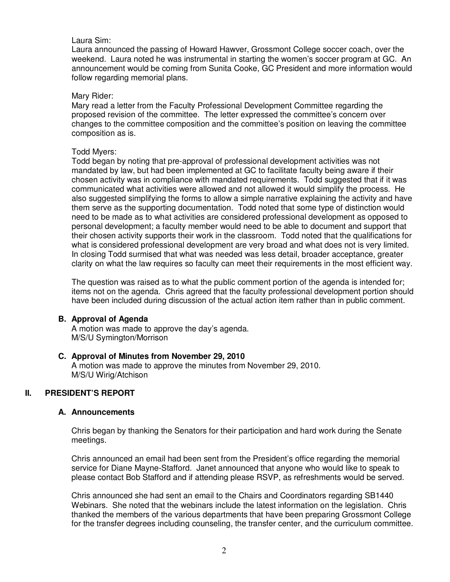#### Laura Sim:

Laura announced the passing of Howard Hawver, Grossmont College soccer coach, over the weekend. Laura noted he was instrumental in starting the women's soccer program at GC. An announcement would be coming from Sunita Cooke, GC President and more information would follow regarding memorial plans.

#### Mary Rider:

Mary read a letter from the Faculty Professional Development Committee regarding the proposed revision of the committee. The letter expressed the committee's concern over changes to the committee composition and the committee's position on leaving the committee composition as is.

#### Todd Myers:

Todd began by noting that pre-approval of professional development activities was not mandated by law, but had been implemented at GC to facilitate faculty being aware if their chosen activity was in compliance with mandated requirements. Todd suggested that if it was communicated what activities were allowed and not allowed it would simplify the process. He also suggested simplifying the forms to allow a simple narrative explaining the activity and have them serve as the supporting documentation. Todd noted that some type of distinction would need to be made as to what activities are considered professional development as opposed to personal development; a faculty member would need to be able to document and support that their chosen activity supports their work in the classroom. Todd noted that the qualifications for what is considered professional development are very broad and what does not is very limited. In closing Todd surmised that what was needed was less detail, broader acceptance, greater clarity on what the law requires so faculty can meet their requirements in the most efficient way.

The question was raised as to what the public comment portion of the agenda is intended for; items not on the agenda. Chris agreed that the faculty professional development portion should have been included during discussion of the actual action item rather than in public comment.

#### **B. Approval of Agenda**

A motion was made to approve the day's agenda. M/S/U Symington/Morrison

#### **C. Approval of Minutes from November 29, 2010**

A motion was made to approve the minutes from November 29, 2010. M/S/U Wirig/Atchison

#### **II. PRESIDENT'S REPORT**

#### **A. Announcements**

Chris began by thanking the Senators for their participation and hard work during the Senate meetings.

Chris announced an email had been sent from the President's office regarding the memorial service for Diane Mayne-Stafford. Janet announced that anyone who would like to speak to please contact Bob Stafford and if attending please RSVP, as refreshments would be served.

Chris announced she had sent an email to the Chairs and Coordinators regarding SB1440 Webinars. She noted that the webinars include the latest information on the legislation. Chris thanked the members of the various departments that have been preparing Grossmont College for the transfer degrees including counseling, the transfer center, and the curriculum committee.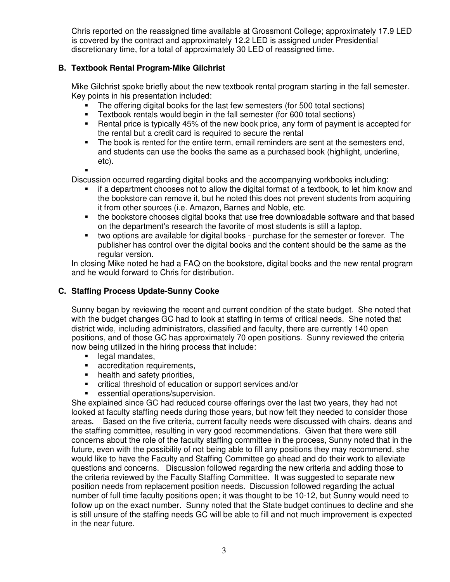Chris reported on the reassigned time available at Grossmont College; approximately 17.9 LED is covered by the contract and approximately 12.2 LED is assigned under Presidential discretionary time, for a total of approximately 30 LED of reassigned time.

## **B. Textbook Rental Program-Mike Gilchrist**

Mike Gilchrist spoke briefly about the new textbook rental program starting in the fall semester. Key points in his presentation included:

- The offering digital books for the last few semesters (for 500 total sections)
- Textbook rentals would begin in the fall semester (for 600 total sections)
- Rental price is typically 45% of the new book price, any form of payment is accepted for the rental but a credit card is required to secure the rental
- The book is rented for the entire term, email reminders are sent at the semesters end, and students can use the books the same as a purchased book (highlight, underline, etc). .
- 

Discussion occurred regarding digital books and the accompanying workbooks including:

- if a department chooses not to allow the digital format of a textbook, to let him know and the bookstore can remove it, but he noted this does not prevent students from acquiring it from other sources (i.e. Amazon, Barnes and Noble, etc.
- the bookstore chooses digital books that use free downloadable software and that based on the department's research the favorite of most students is still a laptop.
- two options are available for digital books purchase for the semester or forever. The publisher has control over the digital books and the content should be the same as the regular version.

In closing Mike noted he had a FAQ on the bookstore, digital books and the new rental program and he would forward to Chris for distribution.

# **C. Staffing Process Update-Sunny Cooke**

Sunny began by reviewing the recent and current condition of the state budget. She noted that with the budget changes GC had to look at staffing in terms of critical needs. She noted that district wide, including administrators, classified and faculty, there are currently 140 open positions, and of those GC has approximately 70 open positions. Sunny reviewed the criteria now being utilized in the hiring process that include:

- legal mandates,
- **accreditation requirements,**
- health and safety priorities,
- critical threshold of education or support services and/or
- **EXECUTE:** essential operations/supervision.

She explained since GC had reduced course offerings over the last two years, they had not looked at faculty staffing needs during those years, but now felt they needed to consider those areas. Based on the five criteria, current faculty needs were discussed with chairs, deans and the staffing committee, resulting in very good recommendations. Given that there were still concerns about the role of the faculty staffing committee in the process, Sunny noted that in the future, even with the possibility of not being able to fill any positions they may recommend, she would like to have the Faculty and Staffing Committee go ahead and do their work to alleviate questions and concerns. Discussion followed regarding the new criteria and adding those to the criteria reviewed by the Faculty Staffing Committee. It was suggested to separate new position needs from replacement position needs. Discussion followed regarding the actual number of full time faculty positions open; it was thought to be 10-12, but Sunny would need to follow up on the exact number. Sunny noted that the State budget continues to decline and she is still unsure of the staffing needs GC will be able to fill and not much improvement is expected in the near future.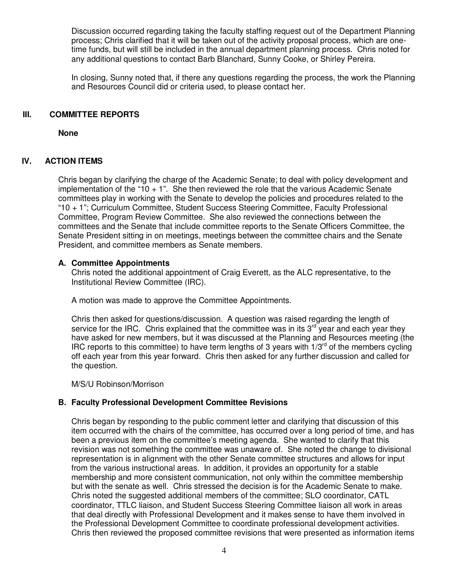Discussion occurred regarding taking the faculty staffing request out of the Department Planning process; Chris clarified that it will be taken out of the activity proposal process, which are onetime funds, but will still be included in the annual department planning process. Chris noted for any additional questions to contact Barb Blanchard, Sunny Cooke, or Shirley Pereira.

In closing, Sunny noted that, if there any questions regarding the process, the work the Planning and Resources Council did or criteria used, to please contact her.

#### **III. COMMITTEE REPORTS**

**None**

#### **IV. ACTION ITEMS**

Chris began by clarifying the charge of the Academic Senate; to deal with policy development and implementation of the "10 + 1". She then reviewed the role that the various Academic Senate committees play in working with the Senate to develop the policies and procedures related to the "10 + 1"; Curriculum Committee, Student Success Steering Committee, Faculty Professional Committee, Program Review Committee. She also reviewed the connections between the committees and the Senate that include committee reports to the Senate Officers Committee, the Senate President sitting in on meetings, meetings between the committee chairs and the Senate President, and committee members as Senate members.

#### **A. Committee Appointments**

Chris noted the additional appointment of Craig Everett, as the ALC representative, to the Institutional Review Committee (IRC).

A motion was made to approve the Committee Appointments.

Chris then asked for questions/discussion. A question was raised regarding the length of service for the IRC. Chris explained that the committee was in its  $3^{rd}$  year and each year they have asked for new members, but it was discussed at the Planning and Resources meeting (the IRC reports to this committee) to have term lengths of 3 years with  $1/3<sup>rd</sup>$  of the members cycling off each year from this year forward. Chris then asked for any further discussion and called for the question.

M/S/U Robinson/Morrison

#### **B. Faculty Professional Development Committee Revisions**

Chris began by responding to the public comment letter and clarifying that discussion of this item occurred with the chairs of the committee, has occurred over a long period of time, and has been a previous item on the committee's meeting agenda. She wanted to clarify that this revision was not something the committee was unaware of. She noted the change to divisional representation is in alignment with the other Senate committee structures and allows for input from the various instructional areas. In addition, it provides an opportunity for a stable membership and more consistent communication, not only within the committee membership but with the senate as well. Chris stressed the decision is for the Academic Senate to make. Chris noted the suggested additional members of the committee; SLO coordinator, CATL coordinator, TTLC liaison, and Student Success Steering Committee liaison all work in areas that deal directly with Professional Development and it makes sense to have them involved in the Professional Development Committee to coordinate professional development activities. Chris then reviewed the proposed committee revisions that were presented as information items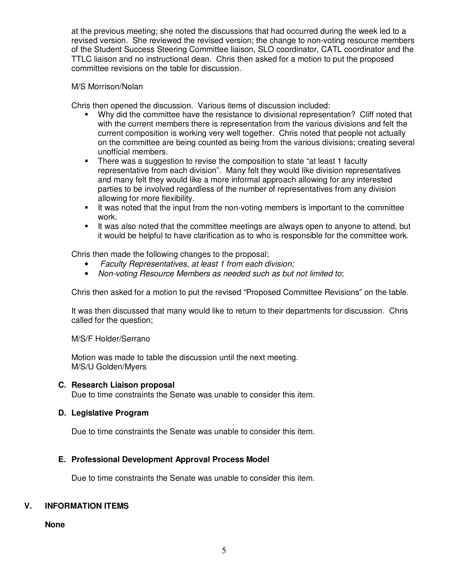at the previous meeting; she noted the discussions that had occurred during the week led to a revised version. She reviewed the revised version; the change to non-voting resource members of the Student Success Steering Committee liaison, SLO coordinator, CATL coordinator and the TTLC liaison and no instructional dean. Chris then asked for a motion to put the proposed committee revisions on the table for discussion.

#### M/S Morrison/Nolan

Chris then opened the discussion. Various items of discussion included:

- Why did the committee have the resistance to divisional representation? Cliff noted that with the current members there is representation from the various divisions and felt the current composition is working very well together. Chris noted that people not actually on the committee are being counted as being from the various divisions; creating several unofficial members.
- There was a suggestion to revise the composition to state "at least 1 faculty representative from each division". Many felt they would like division representatives and many felt they would like a more informal approach allowing for any interested parties to be involved regardless of the number of representatives from any division allowing for more flexibility.
- It was noted that the input from the non-voting members is important to the committee work.
- It was also noted that the committee meetings are always open to anyone to attend, but it would be helpful to have clarification as to who is responsible for the committee work.

Chris then made the following changes to the proposal;

- Faculty Representatives, at least 1 from each division;
- Non-voting Resource Members as needed such as but not limited to:

Chris then asked for a motion to put the revised "Proposed Committee Revisions" on the table.

It was then discussed that many would like to return to their departments for discussion. Chris called for the question;

M/S/F Holder/Serrano

Motion was made to table the discussion until the next meeting. M/S/U Golden/Myers

#### **C. Research Liaison proposal**

Due to time constraints the Senate was unable to consider this item.

#### **D. Legislative Program**

Due to time constraints the Senate was unable to consider this item.

#### **E. Professional Development Approval Process Model**

Due to time constraints the Senate was unable to consider this item.

#### **V. INFORMATION ITEMS**

**None**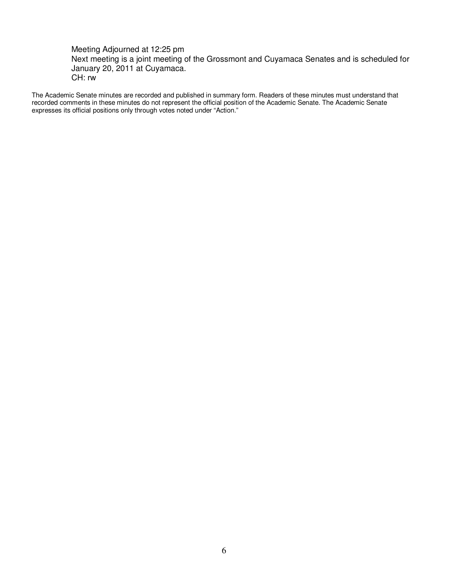Meeting Adjourned at 12:25 pm Next meeting is a joint meeting of the Grossmont and Cuyamaca Senates and is scheduled for January 20, 2011 at Cuyamaca. CH: rw

The Academic Senate minutes are recorded and published in summary form. Readers of these minutes must understand that recorded comments in these minutes do not represent the official position of the Academic Senate. The Academic Senate expresses its official positions only through votes noted under "Action."